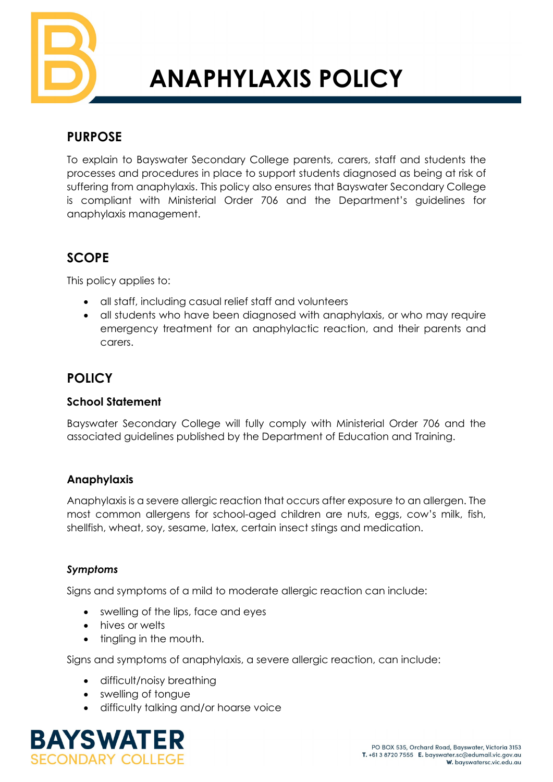

# **ANAPHYLAXIS POLICY**

# **PURPOSE**

To explain to Bayswater Secondary College parents, carers, staff and students the processes and procedures in place to support students diagnosed as being at risk of suffering from anaphylaxis. This policy also ensures that Bayswater Secondary College is compliant with Ministerial Order 706 and the Department's guidelines for anaphylaxis management.

# **SCOPE**

This policy applies to:

- all staff, including casual relief staff and volunteers
- all students who have been diagnosed with anaphylaxis, or who may require emergency treatment for an anaphylactic reaction, and their parents and carers.

# **POLICY**

## **School Statement**

Bayswater Secondary College will fully comply with Ministerial Order 706 and the associated guidelines published by the Department of Education and Training.

# **Anaphylaxis**

Anaphylaxis is a severe allergic reaction that occurs after exposure to an allergen. The most common allergens for school-aged children are nuts, eggs, cow's milk, fish, shellfish, wheat, soy, sesame, latex, certain insect stings and medication.

## *Symptoms*

Signs and symptoms of a mild to moderate allergic reaction can include:

- swelling of the lips, face and eyes
- hives or welts
- tingling in the mouth.

Signs and symptoms of anaphylaxis, a severe allergic reaction, can include:

- difficult/noisy breathing
- swelling of tongue
- difficulty talking and/or hoarse voice

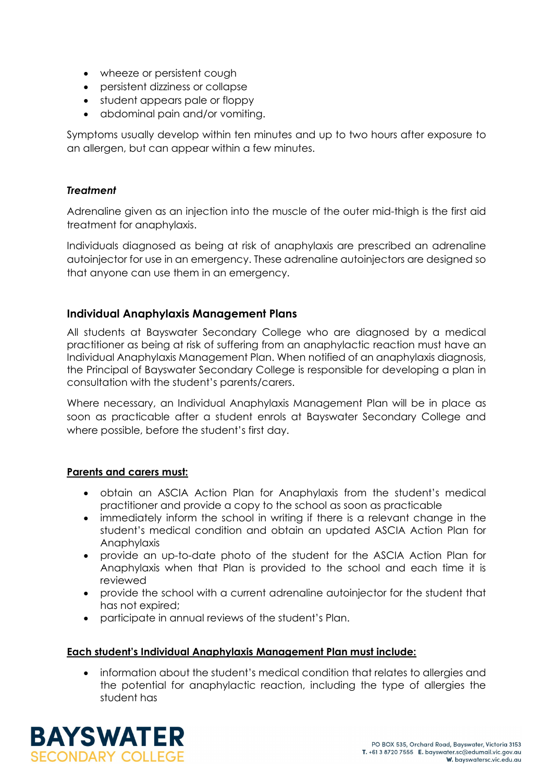- wheeze or persistent cough
- persistent dizziness or collapse
- student appears pale or floppy
- abdominal pain and/or vomiting.

Symptoms usually develop within ten minutes and up to two hours after exposure to an allergen, but can appear within a few minutes.

#### *Treatment*

Adrenaline given as an injection into the muscle of the outer mid-thigh is the first aid treatment for anaphylaxis.

Individuals diagnosed as being at risk of anaphylaxis are prescribed an adrenaline autoinjector for use in an emergency. These adrenaline autoinjectors are designed so that anyone can use them in an emergency.

#### **Individual Anaphylaxis Management Plans**

All students at Bayswater Secondary College who are diagnosed by a medical practitioner as being at risk of suffering from an anaphylactic reaction must have an Individual Anaphylaxis Management Plan. When notified of an anaphylaxis diagnosis, the Principal of Bayswater Secondary College is responsible for developing a plan in consultation with the student's parents/carers.

Where necessary, an Individual Anaphylaxis Management Plan will be in place as soon as practicable after a student enrols at Bayswater Secondary College and where possible, before the student's first day.

#### **Parents and carers must:**

- obtain an ASCIA Action Plan for Anaphylaxis from the student's medical practitioner and provide a copy to the school as soon as practicable
- immediately inform the school in writing if there is a relevant change in the student's medical condition and obtain an updated ASCIA Action Plan for Anaphylaxis
- provide an up-to-date photo of the student for the ASCIA Action Plan for Anaphylaxis when that Plan is provided to the school and each time it is reviewed
- provide the school with a current adrenaline autoinjector for the student that has not expired;
- participate in annual reviews of the student's Plan.

#### **Each student's Individual Anaphylaxis Management Plan must include:**

• information about the student's medical condition that relates to allergies and the potential for anaphylactic reaction, including the type of allergies the student has

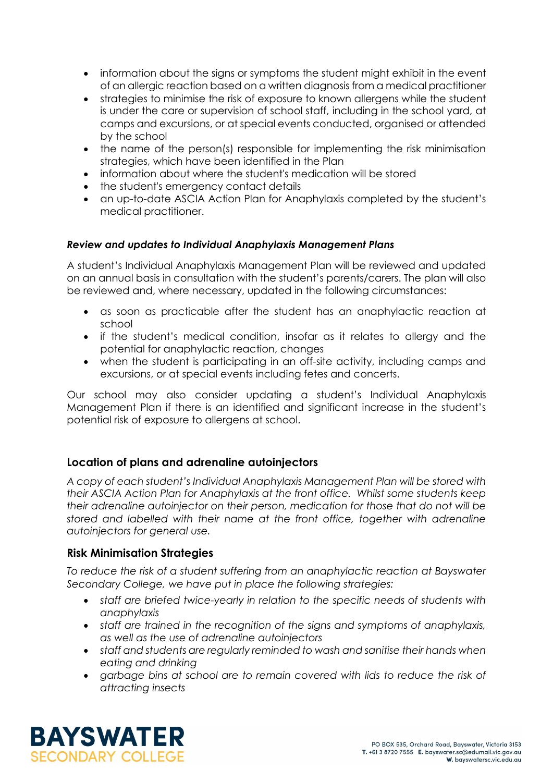- information about the signs or symptoms the student might exhibit in the event of an allergic reaction based on a written diagnosis from a medical practitioner
- strategies to minimise the risk of exposure to known allergens while the student is under the care or supervision of school staff, including in the school yard, at camps and excursions, or at special events conducted, organised or attended by the school
- the name of the person(s) responsible for implementing the risk minimisation strategies, which have been identified in the Plan
- information about where the student's medication will be stored
- the student's emergency contact details
- an up-to-date ASCIA Action Plan for Anaphylaxis completed by the student's medical practitioner.

#### *Review and updates to Individual Anaphylaxis Management Plans*

A student's Individual Anaphylaxis Management Plan will be reviewed and updated on an annual basis in consultation with the student's parents/carers. The plan will also be reviewed and, where necessary, updated in the following circumstances:

- as soon as practicable after the student has an anaphylactic reaction at school
- if the student's medical condition, insofar as it relates to allergy and the potential for anaphylactic reaction, changes
- when the student is participating in an off-site activity, including camps and excursions, or at special events including fetes and concerts.

Our school may also consider updating a student's Individual Anaphylaxis Management Plan if there is an identified and significant increase in the student's potential risk of exposure to allergens at school.

## **Location of plans and adrenaline autoinjectors**

*A copy of each student's Individual Anaphylaxis Management Plan will be stored with their ASCIA Action Plan for Anaphylaxis at the front office. Whilst some students keep their adrenaline autoinjector on their person, medication for those that do not will be stored and labelled with their name at the front office, together with adrenaline autoinjectors for general use.* 

## **Risk Minimisation Strategies**

*To reduce the risk of a student suffering from an anaphylactic reaction at Bayswater Secondary College, we have put in place the following strategies:*

- *staff are briefed twice-yearly in relation to the specific needs of students with anaphylaxis*
- *staff are trained in the recognition of the signs and symptoms of anaphylaxis, as well as the use of adrenaline autoinjectors*
- *staff and students are regularly reminded to wash and sanitise their hands when eating and drinking*
- *garbage bins at school are to remain covered with lids to reduce the risk of attracting insects*

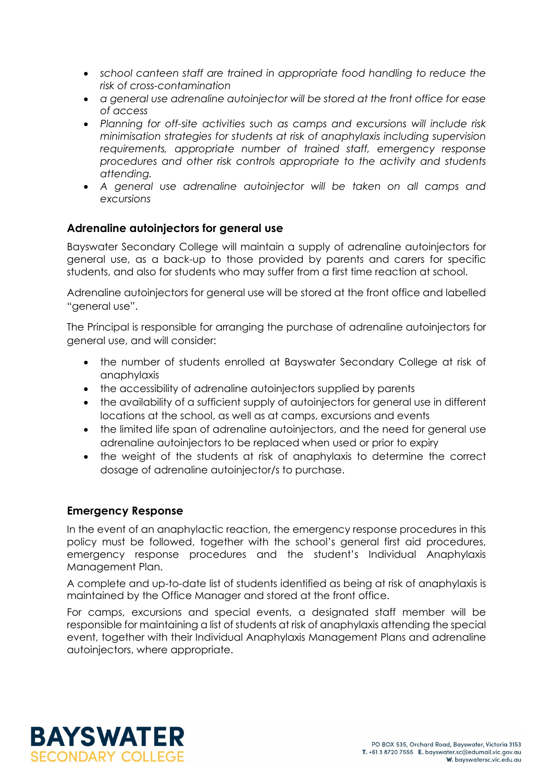- *school canteen staff are trained in appropriate food handling to reduce the risk of cross-contamination*
- *a general use adrenaline autoinjector will be stored at the front office for ease of access*
- *Planning for off-site activities such as camps and excursions will include risk minimisation strategies for students at risk of anaphylaxis including supervision requirements, appropriate number of trained staff, emergency response procedures and other risk controls appropriate to the activity and students attending.*
- *A general use adrenaline autoinjector will be taken on all camps and excursions*

#### **Adrenaline autoinjectors for general use**

Bayswater Secondary College will maintain a supply of adrenaline autoinjectors for general use, as a back-up to those provided by parents and carers for specific students, and also for students who may suffer from a first time reaction at school.

Adrenaline autoinjectors for general use will be stored at the front office and labelled "general use".

The Principal is responsible for arranging the purchase of adrenaline autoinjectors for general use, and will consider:

- the number of students enrolled at Bayswater Secondary College at risk of anaphylaxis
- the accessibility of adrenaline autoinjectors supplied by parents
- the availability of a sufficient supply of autoinjectors for general use in different locations at the school, as well as at camps, excursions and events
- the limited life span of adrenaline autoinjectors, and the need for general use adrenaline autoinjectors to be replaced when used or prior to expiry
- the weight of the students at risk of anaphylaxis to determine the correct dosage of adrenaline autoinjector/s to purchase.

#### **Emergency Response**

In the event of an anaphylactic reaction, the emergency response procedures in this policy must be followed, together with the school's general first aid procedures, emergency response procedures and the student's Individual Anaphylaxis Management Plan.

A complete and up-to-date list of students identified as being at risk of anaphylaxis is maintained by the Office Manager and stored at the front office.

For camps, excursions and special events, a designated staff member will be responsible for maintaining a list of students at risk of anaphylaxis attending the special event, together with their Individual Anaphylaxis Management Plans and adrenaline autoinjectors, where appropriate.

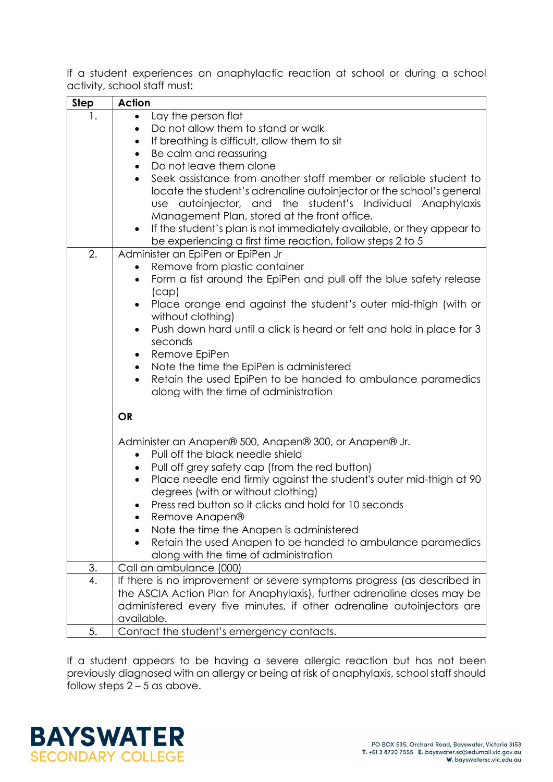If a student experiences an anaphylactic reaction at school or during a school activity, school staff must:

| <b>Step</b> | <b>Action</b>                                                                                                                                                                                                                                                                                                                                                                                              |
|-------------|------------------------------------------------------------------------------------------------------------------------------------------------------------------------------------------------------------------------------------------------------------------------------------------------------------------------------------------------------------------------------------------------------------|
| 1.          | Lay the person flat<br>$\bullet$                                                                                                                                                                                                                                                                                                                                                                           |
|             | Do not allow them to stand or walk                                                                                                                                                                                                                                                                                                                                                                         |
|             | If breathing is difficult, allow them to sit<br>$\bullet$                                                                                                                                                                                                                                                                                                                                                  |
|             | Be calm and reassuring                                                                                                                                                                                                                                                                                                                                                                                     |
|             | Do not leave them alone                                                                                                                                                                                                                                                                                                                                                                                    |
|             | Seek assistance from another staff member or reliable student to<br>locate the student's adrenaline autoinjector or the school's general<br>use autoinjector, and the student's Individual Anaphylaxis<br>Management Plan, stored at the front office.<br>If the student's plan is not immediately available, or they appear to<br>$\bullet$<br>be experiencing a first time reaction, follow steps 2 to 5 |
| 2.          | Administer an EpiPen or EpiPen Jr                                                                                                                                                                                                                                                                                                                                                                          |
|             | Remove from plastic container                                                                                                                                                                                                                                                                                                                                                                              |
|             | Form a fist around the EpiPen and pull off the blue safety release<br>٠                                                                                                                                                                                                                                                                                                                                    |
|             | (cap)<br>Place orange end against the student's outer mid-thigh (with or                                                                                                                                                                                                                                                                                                                                   |
|             | without clothing)                                                                                                                                                                                                                                                                                                                                                                                          |
|             | Push down hard until a click is heard or felt and hold in place for 3<br>٠                                                                                                                                                                                                                                                                                                                                 |
|             | seconds                                                                                                                                                                                                                                                                                                                                                                                                    |
|             | Remove EpiPen                                                                                                                                                                                                                                                                                                                                                                                              |
|             | Note the time the EpiPen is administered<br>$\bullet$<br>Retain the used EpiPen to be handed to ambulance paramedics<br>$\bullet$<br>along with the time of administration                                                                                                                                                                                                                                 |
|             | <b>OR</b>                                                                                                                                                                                                                                                                                                                                                                                                  |
|             | Administer an Anapen® 500, Anapen® 300, or Anapen® Jr.<br>Pull off the black needle shield                                                                                                                                                                                                                                                                                                                 |
|             | Pull off grey safety cap (from the red button)                                                                                                                                                                                                                                                                                                                                                             |
|             | Place needle end firmly against the student's outer mid-thigh at 90<br>$\bullet$                                                                                                                                                                                                                                                                                                                           |
|             | degrees (with or without clothing)                                                                                                                                                                                                                                                                                                                                                                         |
|             | Press red button so it clicks and hold for 10 seconds                                                                                                                                                                                                                                                                                                                                                      |
|             | Remove Anapen®                                                                                                                                                                                                                                                                                                                                                                                             |
|             | Note the time the Anapen is administered                                                                                                                                                                                                                                                                                                                                                                   |
|             | Retain the used Anapen to be handed to ambulance paramedics<br>along with the time of administration                                                                                                                                                                                                                                                                                                       |
| 3.          | Call an ambulance (000)                                                                                                                                                                                                                                                                                                                                                                                    |
| 4.          | If there is no improvement or severe symptoms progress (as described in                                                                                                                                                                                                                                                                                                                                    |
|             | the ASCIA Action Plan for Anaphylaxis), further adrenaline doses may be                                                                                                                                                                                                                                                                                                                                    |
|             | administered every five minutes, if other adrenaline autoinjectors are                                                                                                                                                                                                                                                                                                                                     |
|             | available.                                                                                                                                                                                                                                                                                                                                                                                                 |
| 5.          | Contact the student's emergency contacts.                                                                                                                                                                                                                                                                                                                                                                  |

If a student appears to be having a severe allergic reaction but has not been previously diagnosed with an allergy or being at risk of anaphylaxis, school staff should follow steps  $2 - 5$  as above.

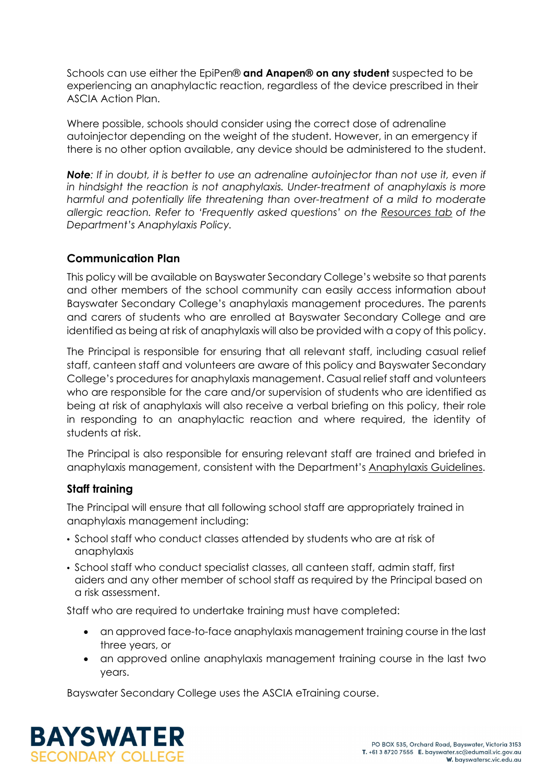Schools can use either the EpiPen® **and Anapen® on any student** suspected to be experiencing an anaphylactic reaction, regardless of the device prescribed in their ASCIA Action Plan.

Where possible, schools should consider using the correct dose of adrenaline autoinjector depending on the weight of the student. However, in an emergency if there is no other option available, any device should be administered to the student.

**Note**: If in doubt, it is better to use an adrenaline autoinjector than not use it, even if *in hindsight the reaction is not anaphylaxis. Under-treatment of anaphylaxis is more harmful and potentially life threatening than over-treatment of a mild to moderate allergic reaction. Refer to 'Frequently asked questions' on the [Resources tab](https://www2.education.vic.gov.au/pal/anaphylaxis/resources) of the Department's Anaphylaxis Policy.*

# **Communication Plan**

This policy will be available on Bayswater Secondary College's website so that parents and other members of the school community can easily access information about Bayswater Secondary College's anaphylaxis management procedures. The parents and carers of students who are enrolled at Bayswater Secondary College and are identified as being at risk of anaphylaxis will also be provided with a copy of this policy.

The Principal is responsible for ensuring that all relevant staff, including casual relief staff, canteen staff and volunteers are aware of this policy and Bayswater Secondary College's procedures for anaphylaxis management. Casual relief staff and volunteers who are responsible for the care and/or supervision of students who are identified as being at risk of anaphylaxis will also receive a verbal briefing on this policy, their role in responding to an anaphylactic reaction and where required, the identity of students at risk.

The Principal is also responsible for ensuring relevant staff are trained and briefed in anaphylaxis management, consistent with the Department's [Anaphylaxis Guidelines.](https://www2.education.vic.gov.au/pal/anaphylaxis/guidance)

## **Staff training**

The Principal will ensure that all following school staff are appropriately trained in anaphylaxis management including:

- School staff who conduct classes attended by students who are at risk of anaphylaxis
- School staff who conduct specialist classes, all canteen staff, admin staff, first aiders and any other member of school staff as required by the Principal based on a risk assessment.

Staff who are required to undertake training must have completed:

- an approved face-to-face anaphylaxis management training course in the last three years, or
- an approved online anaphylaxis management training course in the last two years.

Bayswater Secondary College uses the ASCIA eTraining course.